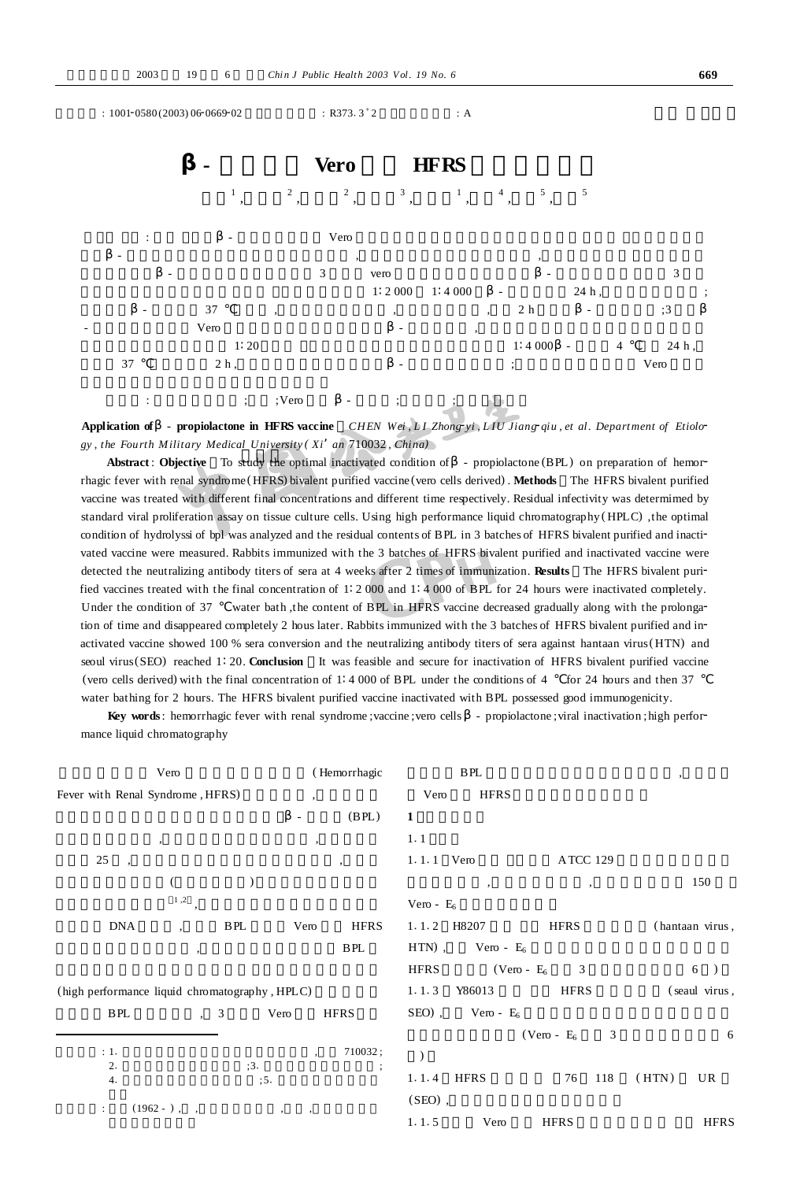

Application of - propiolactone in HFRS vaccine CHEN Wei, L1 Zhong-yi, L1U Jiang-qiu, et al. Department of Etiolo *gy , the Fourth Military Medical University ( Xi*'*an* 710032 *, China)*

**Abstract**: **Objective** To study the optimal inactivated condition of - propiolactone (BPL) on preparation of hemorrhagic fever with renal syndrome (HFRS) bivalent purified vaccine (vero cells derived) . **Methods** The HFRS bivalent purified vaccine was treated with different final concentrations and different time respectively. Residual infectivity was determimed by standard viral proliferation assay on tissue culture cells. Using high performance liquid chromatography ( HPLC) ,the optimal condition of hydrolyssi of bpl was analyzed and the residual contents of BPL in 3 batches of HFRS bivalent purified and inactivated vaccine were measured. Rabbits immunized with the 3 batches of HFRS bivalent purified and inactivated vaccine were detected the neutralizing antibody titers of sera at <sup>4</sup> weeks after <sup>2</sup> times of immunization. **Results** The HFRS bivalent puri<sup>2</sup> fied vaccines treated with the final concentration of 1 2 000 and 1 4 000 of BPL for 24 hours were inactivated completely. Under the condition of 37 water bath ,the content of BPL in HFRS vaccine decreased gradually along with the prolongation of time and disappeared completely 2 hous later. Rabbits immunized with the 3 batches of HFRS bivalent purified and inactivated vaccine showed 100 % sera conversion and the neutralizing antibody titers of sera against hantaan virus(HTN) and seoul virus(SEO) reached 1 20. **Conclusion** It was feasible and secure for inactivation of HFRS bivalent purified vaccine (vero cells derived) with the final concentration of 1 4 000 of BPL under the conditions of 4 for 24 hours and then 37 water bathing for 2 hours. The HFRS bivalent purified vaccine inactivated with BPL possessed good immunogenicity. 中国<sup>公</sup>共卫<sup>生</sup> the 3 batches of HFRS bive<br>
less after 2 times of immunity<br>
000 and 1 4 000 of BPL<br>
BPL in HFRS vaccine de

Key words: hemorrhagic fever with renal syndrome ;vaccine ;vero cells; - propiolactone ;viral inactivation ;high performance liquid chromatography

| Vero                                           | (Hemorrhagic                        | <b>BPL</b>               |                    | $\,$            |
|------------------------------------------------|-------------------------------------|--------------------------|--------------------|-----------------|
| Fever with Renal Syndrome, HFRS)               | $\overline{\phantom{a}}$            | <b>HFRS</b><br>Vero      |                    |                 |
|                                                | (BPL)                               | $\mathbf{1}$             |                    |                 |
| $\,$                                           | $\,$                                | 1.1                      |                    |                 |
| 25<br>$\cdot$                                  | $\cdot$                             | 1.1.1<br>Vero            | <b>ATCC 129</b>    |                 |
|                                                |                                     | $\,$                     | $^\circ$           | 150             |
| $1,2$<br>٠                                     |                                     | Vero - $E_6$             |                    |                 |
| <b>BPL</b><br>DNA<br>$\overline{\phantom{a}}$  | <b>HFRS</b><br>Vero                 | 1.1.2<br>H8207           | <b>HFRS</b>        | (hantaan virus, |
| $\,$                                           | <b>BPL</b>                          | $HTN)$ ,<br>Vero - $E_6$ |                    |                 |
|                                                |                                     | <b>HFRS</b>              | (Vero - $E_6$<br>3 | 6               |
| (high performance liquid chromatography, HPLC) |                                     | 1.1.3<br>Y86013          | <b>HFRS</b>        | (seaul virus,   |
| <b>BPL</b><br>, 3                              | <b>HFRS</b><br>Vero                 | $SEO)$ ,<br>Vero - $E_6$ |                    |                 |
|                                                |                                     |                          | (Vero - $E_6$<br>3 | 6               |
| : 1.                                           | 710032;<br>$\overline{\phantom{a}}$ |                          |                    |                 |
| ;3.<br>2.<br>; 5.<br>4.                        |                                     | <b>HFRS</b><br>1.1.4     | 76<br>118          | (HTN)<br>UR     |
| $(1962 - )$ ,<br>÷                             |                                     | $(SEO)$ ,                |                    |                 |
| $\overline{\phantom{a}}$                       |                                     | 1.1.5<br>Vero            | <b>HFRS</b>        | <b>HFRS</b>     |
|                                                |                                     |                          |                    |                 |